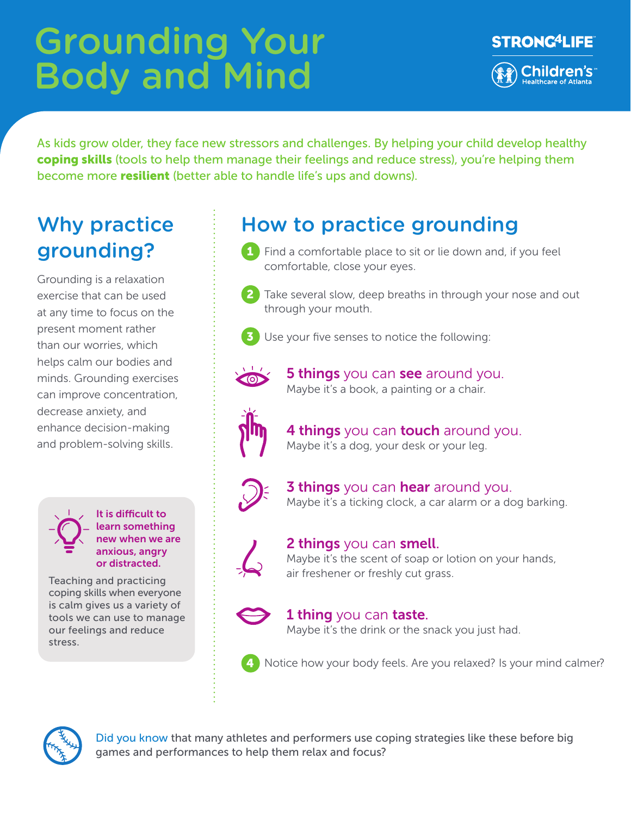# Grounding Your Body and Mind



As kids grow older, they face new stressors and challenges. By helping your child develop healthy coping skills (tools to help them manage their feelings and reduce stress), you're helping them become more **resilient** (better able to handle life's ups and downs).

## Why practice grounding?

Grounding is a relaxation exercise that can be used at any time to focus on the present moment rather than our worries, which helps calm our bodies and minds. Grounding exercises can improve concentration, decrease anxiety, and enhance decision-making and problem-solving skills.

> It is difficult to learn something new when we are anxious, angry or distracted.

Teaching and practicing coping skills when everyone is calm gives us a variety of tools we can use to manage our feelings and reduce stress.

## How to practice grounding

- 1 Find a comfortable place to sit or lie down and, if you feel comfortable, close your eyes.
- 2 Take several slow, deep breaths in through your nose and out through your mouth.



Use your five senses to notice the following:



**5 things** you can see around you. Maybe it's a book, a painting or a chair.



4 things you can touch around you. Maybe it's a dog, your desk or your leg.



**3 things** you can **hear** around you. Maybe it's a ticking clock, a car alarm or a dog barking.



#### **2 things** you can **smell**.

Maybe it's the scent of soap or lotion on your hands, air freshener or freshly cut grass.



#### **1 thing** you can **taste**.

Maybe it's the drink or the snack you just had.



4 Notice how your body feels. Are you relaxed? Is your mind calmer?



Did you know that many athletes and performers use coping strategies like these before big games and performances to help them relax and focus?